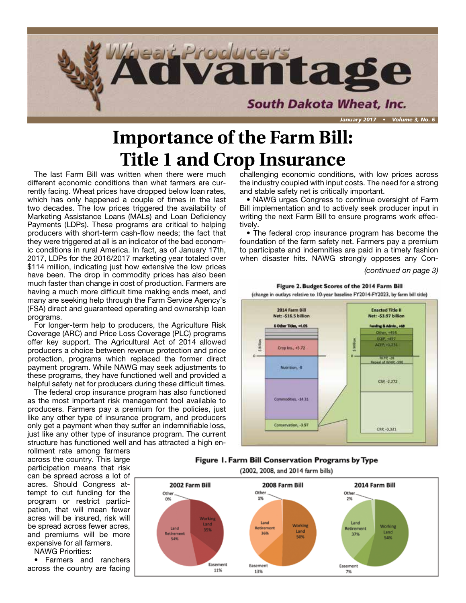

## **Importance of the Farm Bill: Title 1 and Crop Insurance**

The last Farm Bill was written when there were much different economic conditions than what farmers are currently facing. Wheat prices have dropped below loan rates, which has only happened a couple of times in the last two decades. The low prices triggered the availability of Marketing Assistance Loans (MALs) and Loan Deficiency Payments (LDPs). These programs are critical to helping producers with short-term cash-flow needs; the fact that they were triggered at all is an indicator of the bad economic conditions in rural America. In fact, as of January 17th, 2017, LDPs for the 2016/2017 marketing year totaled over \$114 million, indicating just how extensive the low prices have been. The drop in commodity prices has also been much faster than change in cost of production. Farmers are having a much more difficult time making ends meet, and many are seeking help through the Farm Service Agency's (FSA) direct and guaranteed operating and ownership loan programs.

For longer-term help to producers, the Agriculture Risk Coverage (ARC) and Price Loss Coverage (PLC) programs offer key support. The Agricultural Act of 2014 allowed producers a choice between revenue protection and price protection, programs which replaced the former direct payment program. While NAWG may seek adjustments to these programs, they have functioned well and provided a helpful safety net for producers during these difficult times.

The federal crop insurance program has also functioned as the most important risk management tool available to producers. Farmers pay a premium for the policies, just like any other type of insurance program, and producers only get a payment when they suffer an indemnifiable loss, just like any other type of insurance program. The current structure has functioned well and has attracted a high en-

rollment rate among farmers across the country. This large participation means that risk can be spread across a lot of acres. Should Congress attempt to cut funding for the program or restrict participation, that will mean fewer acres will be insured, risk will be spread across fewer acres, and premiums will be more expensive for all farmers.

NAWG Priorities:

**Permers and rancher Property** ross the country are fact • Farmers and ranchers across the country are facing challenging economic conditions, with low prices across the industry coupled with input costs. The need for a strong and stable safety net is critically important.

• NAWG urges Congress to continue oversight of Farm Bill implementation and to actively seek producer input in writing the next Farm Bill to ensure programs work effectively.

• The federal crop insurance program has become the foundation of the farm safety net. Farmers pay a premium to participate and indemnities are paid in a timely fashion when disaster hits. NAWG strongly opposes any Con-

*(continued on page 3)*



#### Figure 1. Farm Bill Conservation Programs by Type

(2002, 2008, and 2014 farm bills)

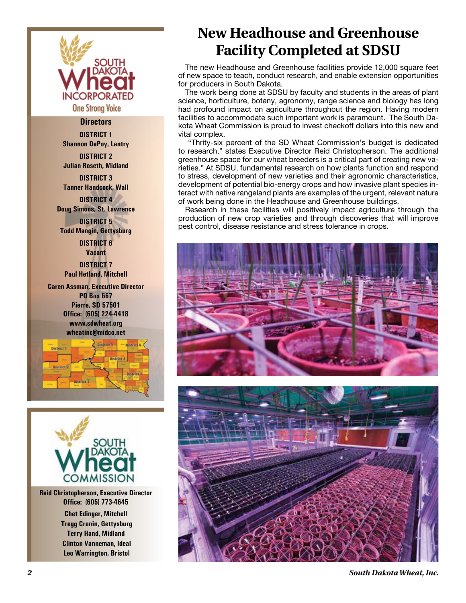

#### **Directors**

**DISTRICT 1 Shannon DePoy, Lantry**

**DISTRICT 2 Julian Roseth, Midland**

**DISTRICT 3 Tanner Handcock, Wall DISTRICT 4**

**Doug Simons, St. Lawrence DISTRICT 5**

**Todd Mangin, Gettysburg**

**DISTRICT 6 Vacant DISTRICT 7 Paul Hetland, Mitchell**

**Caren Assman, Executive Director PO Box 667 Pierre, SD 57501 Office: (605) 224-4418 www.sdwheat.org wheatinc@midco.net**





**Reid Christopherson, Executive Director Office: (605) 773-4645 Chet Edinger, Mitchell Tregg Cronin, Gettysburg Terry Hand, Midland Clinton Vanneman, Ideal Leo Warrington, Bristol**

### **New Headhouse and Greenhouse Facility Completed at SDSU**

The new Headhouse and Greenhouse facilities provide 12,000 square feet of new space to teach, conduct research, and enable extension opportunities for producers in South Dakota.

The work being done at SDSU by faculty and students in the areas of plant science, horticulture, botany, agronomy, range science and biology has long had profound impact on agriculture throughout the region. Having modern facilities to accommodate such important work is paramount. The South Dakota Wheat Commission is proud to invest checkoff dollars into this new and vital complex.

 "Thrity-six percent of the SD Wheat Commission's budget is dedicated to research," states Executive Director Reid Christopherson. The additional greenhouse space for our wheat breeders is a critical part of creating new varieties." At SDSU, fundamental research on how plants function and respond to stress, development of new varieties and their agronomic characteristics, development of potential bio-energy crops and how invasive plant species interact with native rangeland plants are examples of the urgent, relevant nature of work being done in the Headhouse and Greenhouse buildings.

Research in these facilities will positively impact agriculture through the production of new crop varieties and through discoveries that will improve pest control, disease resistance and stress tolerance in crops.





*2 South Dakota Wheat, Inc.*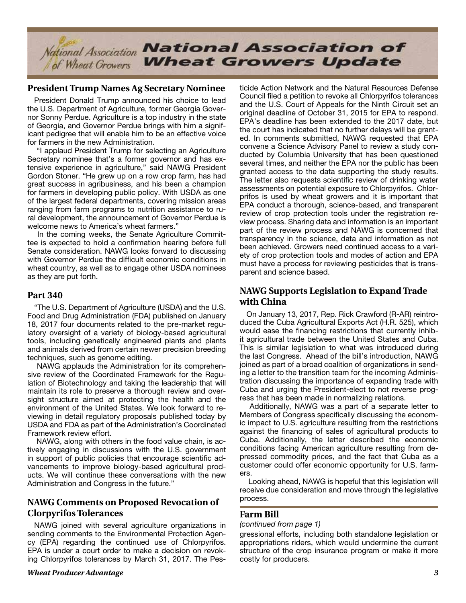

#### **President Trump Names Ag Secretary Nominee**

President Donald Trump announced his choice to lead the U.S. Department of Agriculture, former Georgia Governor Sonny Perdue. Agriculture is a top industry in the state of Georgia, and Governor Perdue brings with him a significant pedigree that will enable him to be an effective voice for farmers in the new Administration.

 "I applaud President Trump for selecting an Agriculture Secretary nominee that's a former governor and has extensive experience in agriculture," said NAWG President Gordon Stoner. "He grew up on a row crop farm, has had great success in agribusiness, and his been a champion for farmers in developing public policy. With USDA as one of the largest federal departments, covering mission areas ranging from farm programs to nutrition assistance to rural development, the announcement of Governor Perdue is welcome news to America's wheat farmers."

 In the coming weeks, the Senate Agriculture Committee is expected to hold a confirmation hearing before full Senate consideration. NAWG looks forward to discussing with Governor Perdue the difficult economic conditions in wheat country, as well as to engage other USDA nominees as they are put forth.

#### **Part 340**

"The U.S. Department of Agriculture (USDA) and the U.S. Food and Drug Administration (FDA) published on January 18, 2017 four documents related to the pre-market regulatory oversight of a variety of biology-based agricultural tools, including genetically engineered plants and plants and animals derived from certain newer precision breeding techniques, such as genome editing.

 NAWG applauds the Administration for its comprehensive review of the Coordinated Framework for the Regulation of Biotechnology and taking the leadership that will maintain its role to preserve a thorough review and oversight structure aimed at protecting the health and the environment of the United States. We look forward to reviewing in detail regulatory proposals published today by USDA and FDA as part of the Administration's Coordinated Framework review effort.

 NAWG, along with others in the food value chain, is actively engaging in discussions with the U.S. government in support of public policies that encourage scientific advancements to improve biology-based agricultural products. We will continue these conversations with the new Administration and Congress in the future."

#### **NAWG Comments on Proposed Revocation of Clorpyrifos Tolerances**

NAWG joined with several agriculture organizations in sending comments to the Environmental Protection Agency (EPA) regarding the continued use of Chlorpyrifos. EPA is under a court order to make a decision on revoking Chlorpyrifos tolerances by March 31, 2017. The Pesticide Action Network and the Natural Resources Defense Council filed a petition to revoke all Chlorpyrifos tolerances and the U.S. Court of Appeals for the Ninth Circuit set an original deadline of October 31, 2015 for EPA to respond. EPA's deadline has been extended to the 2017 date, but the court has indicated that no further delays will be granted. In comments submitted, NAWG requested that EPA convene a Science Advisory Panel to review a study conducted by Columbia University that has been questioned several times, and neither the EPA nor the public has been granted access to the data supporting the study results. The letter also requests scientific review of drinking water assessments on potential exposure to Chlorpyrifos. Chlorprifos is used by wheat growers and it is important that EPA conduct a thorough, science-based, and transparent review of crop protection tools under the registration review process. Sharing data and information is an important part of the review process and NAWG is concerned that transparency in the science, data and information as not been achieved. Growers need continued access to a variety of crop protection tools and modes of action and EPA must have a process for reviewing pesticides that is transparent and science based.

#### **NAWG Supports Legislation to Expand Trade with China**

On January 13, 2017, Rep. Rick Crawford (R-AR) reintroduced the Cuba Agricultural Exports Act (H.R. 525), which would ease the financing restrictions that currently inhibit agricultural trade between the United States and Cuba. This is similar legislation to what was introduced during the last Congress. Ahead of the bill's introduction, NAWG joined as part of a broad coalition of organizations in sending a letter to the transition team for the incoming Administration discussing the importance of expanding trade with Cuba and urging the President-elect to not reverse progress that has been made in normalizing relations.

 Additionally, NAWG was a part of a separate letter to Members of Congress specifically discussing the economic impact to U.S. agriculture resulting from the restrictions against the financing of sales of agricultural products to Cuba. Additionally, the letter described the economic conditions facing American agriculture resulting from depressed commodity prices, and the fact that Cuba as a customer could offer economic opportunity for U.S. farmers.

 Looking ahead, NAWG is hopeful that this legislation will receive due consideration and move through the legislative process.

#### **Farm Bill**

#### *(continued from page 1)*

gressional efforts, including both standalone legislation or appropriations riders, which would undermine the current structure of the crop insurance program or make it more costly for producers.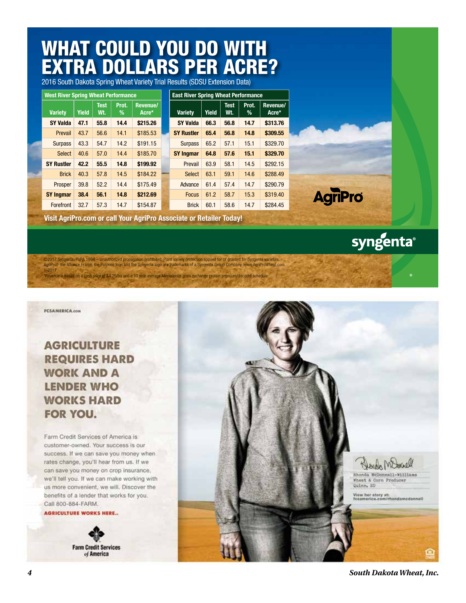## WHAT COULD YOU DO WITH EXTRA DOLLARS PER ACRE?

2016 South Dakota Spring Wheat Variety Trial Results (SDSU Extension Data)

| <b>West River Spring Wheat Performance</b> |              |                    |            |                   | <b>East River Spring Wheat Performance</b> |       |                    |            |                   |
|--------------------------------------------|--------------|--------------------|------------|-------------------|--------------------------------------------|-------|--------------------|------------|-------------------|
| <b>Variety</b>                             | <b>Yield</b> | <b>Test</b><br>Wt. | Prot.<br>% | Revenue/<br>Acre* | <b>Variety</b>                             | Yield | <b>Test</b><br>Wt. | Prot.<br>% | Revenue/<br>Acre* |
| <b>SY Valda</b>                            | 47.1         | 55.8               | 14.4       | \$215.26          | <b>SY Valda</b>                            | 66.3  | 56.8               | 14.7       | \$313.76          |
| Prevail                                    | 43.7         | 56.6               | 14.1       | \$185.53          | <b>SY Rustler</b>                          | 65.4  | 56.8               | 14.8       | \$309.55          |
| <b>Surpass</b>                             | 43.3         | 54.7               | 14.2       | \$191.15          | <b>Surpass</b>                             | 65.2  | 57.1               | 15.1       | \$329.70          |
| Select                                     | 40.6         | 57.0               | 14.4       | \$185.70          | <b>SY Ingmar</b>                           | 64.8  | 57.6               | 15.1       | \$329.70          |
| <b>SY Rustler</b>                          | 42.2         | 55.5               | 14.8       | \$199.92          | Prevail                                    | 63.9  | 58.1               | 14.5       | \$292.15          |
| <b>Brick</b>                               | 40.3         | 57.8               | 14.5       | \$184.22          | Select                                     | 63.1  | 59.1               | 14.6       | \$288.49          |
| Prosper                                    | 39.8         | 52.2               | 14.4       | \$175.49          | Advance                                    | 61.4  | 57.4               | 14.7       | \$290.79          |
| <b>SY Ingmar</b>                           | 38.4         | 56.1               | 14.8       | \$212.69          | <b>Focus</b>                               | 61.2  | 58.7               | 15.3       | \$319.40          |
| Forefront                                  | 32.7         | 57.3               | 14.7       | \$154.87          | <b>Brick</b>                               | 60.1  | 58.6               | 14.7       | \$284.45          |

**Visit AgriPro.com or call Your AgriPro Associate or Retailer Today!**

syngenta®

**AgriPro** 

©2017 Syngenta. PVPA 1994 – Unauthorized propagation prohibited. Plant variety protection applied for or granted for Syngenta varieties. AgriPro®, the Alliance Frame, the Purpose Icon and the Syngenta logo are trademarks of a Syngenta Group Company. www.AgriProWheat.com 1-2017 \*Revenue is based on a cash price of \$4.25/bu and a 10 year average Minneapolis grain exchange protein premium/discount schedule.



≏

**Farm Credit Services** 

of America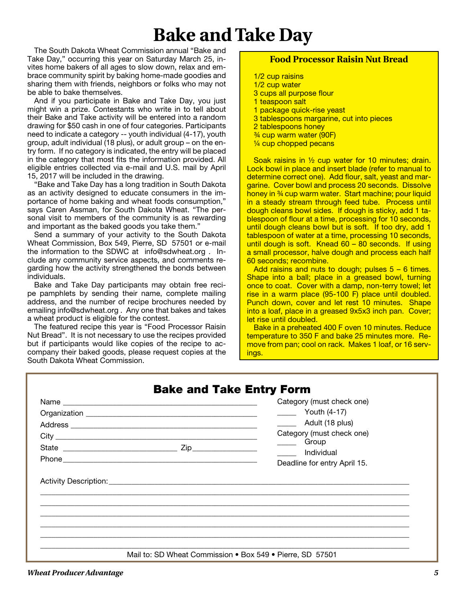## **Bake and Take Day**

The South Dakota Wheat Commission annual "Bake and Take Day," occurring this year on Saturday March 25, invites home bakers of all ages to slow down, relax and embrace community spirit by baking home-made goodies and sharing them with friends, neighbors or folks who may not be able to bake themselves.

And if you participate in Bake and Take Day, you just might win a prize. Contestants who write in to tell about their Bake and Take activity will be entered into a random drawing for \$50 cash in one of four categories. Participants need to indicate a category -- youth individual (4-17), youth group, adult individual (18 plus), or adult group – on the entry form. If no category is indicated, the entry will be placed in the category that most fits the information provided. All eligible entries collected via e-mail and U.S. mail by April 15, 2017 will be included in the drawing.

"Bake and Take Day has a long tradition in South Dakota as an activity designed to educate consumers in the importance of home baking and wheat foods consumption," says Caren Assman, for South Dakota Wheat. "The personal visit to members of the community is as rewarding and important as the baked goods you take them."

Send a summary of your activity to the South Dakota Wheat Commission, Box 549, Pierre, SD 57501 or e-mail the information to the SDWC at info@sdwheat.org . Include any community service aspects, and comments regarding how the activity strengthened the bonds between individuals.

Bake and Take Day participants may obtain free recipe pamphlets by sending their name, complete mailing address, and the number of recipe brochures needed by emailing info@sdwheat.org . Any one that bakes and takes a wheat product is eligible for the contest.

The featured recipe this year is "Food Processor Raisin Nut Bread". It is not necessary to use the recipes provided but if participants would like copies of the recipe to accompany their baked goods, please request copies at the South Dakota Wheat Commission.

#### **Food Processor Raisin Nut Bread**

- 1/2 cup raisins 1/2 cup water 3 cups all purpose flour 1 teaspoon salt 1 package quick-rise yeast 3 tablespoons margarine, cut into pieces 2 tablespoons honey ¾ cup warm water (90F)
- 1/4 cup chopped pecans

Soak raisins in ½ cup water for 10 minutes; drain. Lock bowl in place and insert blade (refer to manual to determine correct one). Add flour, salt, yeast and margarine. Cover bowl and process 20 seconds. Dissolve honey in <sup>34</sup> cup warm water. Start machine; pour liquid in a steady stream through feed tube. Process until dough cleans bowl sides. If dough is sticky, add 1 tablespoon of flour at a time, processing for 10 seconds, until dough cleans bowl but is soft. If too dry, add 1 tablespoon of water at a time, processing 10 seconds, until dough is soft. Knead 60 – 80 seconds. If using a small processor, halve dough and process each half 60 seconds; recombine.

Add raisins and nuts to dough; pulses 5 – 6 times. Shape into a ball; place in a greased bowl, turning once to coat. Cover with a damp, non-terry towel; let rise in a warm place (95-100 F) place until doubled. Punch down, cover and let rest 10 minutes. Shape into a loaf, place in a greased 9x5x3 inch pan. Cover; let rise until doubled.

Bake in a preheated 400 F oven 10 minutes. Reduce temperature to 350 F and bake 25 minutes more. Remove from pan; cool on rack. Makes 1 loaf, or 16 servings.

| Category (must check one)        |
|----------------------------------|
| $\frac{1}{2}$ Youth (4-17)       |
| __________ Adult (18 plus)       |
| Category (must check one)        |
| Group Group<br><b>Individual</b> |
| Deadline for entry April 15.     |
|                                  |
|                                  |
|                                  |
|                                  |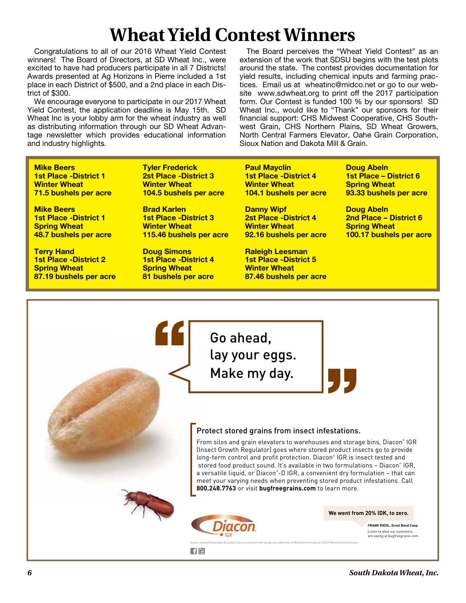# **Wheat Yield Contest Winners**

Congratulations to all of our 2016 Wheat Yield Contest winners! The Board of Directors, at SD Wheat Inc., were excited to have had producers participate in all 7 Districts! Awards presented at Ag Horizons in Pierre included a 1st place in each District of \$500, and a 2nd place in each District of \$300.

We encourage everyone to participate in our 2017 Wheat Yield Contest, the application deadline is May 15th. SD Wheat Inc is your lobby arm for the wheat industry as well as distributing information through our SD Wheat Advantage newsletter which provides educational information and industry highlights.

The Board perceives the "Wheat Yield Contest" as an extension of the work that SDSU begins with the test plots around the state. The contest provides documentation for yield results, including chemical inputs and farming practices. Email us at wheatinc@midco.net or go to our website www.sdwheat.org to print off the 2017 participation form. Our Contest is funded 100 % by our sponsors! SD Wheat Inc., would like to "Thank" our sponsors for their financial support: CHS Midwest Cooperative, CHS Southwest Grain, CHS Northern Plains, SD Wheat Growers, North Central Farmers Elevator, Oahe Grain Corporation, Sioux Nation and Dakota Mill & Grain.

**Mike Beers 1st Place -District 1 Winter Wheat 71.5 bushels per acre**

**Mike Beers 1st Place -District 1 Spring Wheat 48.7 bushels per acre**

**Terry Hand 1st Place -District 2 Spring Wheat 87.19 bushels per acre** **Tyler Frederick 2st Place -District 3 Winter Wheat 104.5 bushels per acre**

**Brad Karlen 1st Place -District 3 Winter Wheat 115.46 bushels per acre**

**Doug Simons 1st Place -District 4 Spring Wheat 81 bushels per acre** **Paul Mayclin 1st Place -District 4 Winter Wheat 104.1 bushels per acre**

**Danny Wipf 2st Place -District 4 Winter Wheat 92.16 bushels per acre**

**Raleigh Leesman 1st Place -District 5 Winter Wheat 87.46 bushels per acre** **Doug Abeln 1st Place – District 6 Spring Wheat 93.33 bushels per acre**

**Doug Abeln 2nd Place – District 6 Spring Wheat 100.17 bushels per acre**

Go ahead, lay your eggs. Make my day.

#### Protect stored grains from insect infestations.

Always read and follow label directions. Diacon and Diacon with design are trademarks of Wellmark International. ©2015 Wellmark International.

From silos and grain elevators to warehouses and storage bins, Diacon® IGR (Insect Growth Regulator) goes where stored product insects go to provide long-term control and profit protection. Diacon® IGR is insect tested and stored food product sound. It's available in two formulations – Diacon® IGR, a versatile liquid, or Diacon® -D IGR, a convenient dry formulation – that can meet your varying needs when preventing stored product infestations. Call **800.248.7763** or visit **bugfreegrains.com** to learn more.



**We went from 20% IDK, to zero.**

**FRANK RIEDL, Great Bend Coop** Listen to what our customers are saying at bugfreegrains.com

 $\lceil f \rceil$ G $\rceil$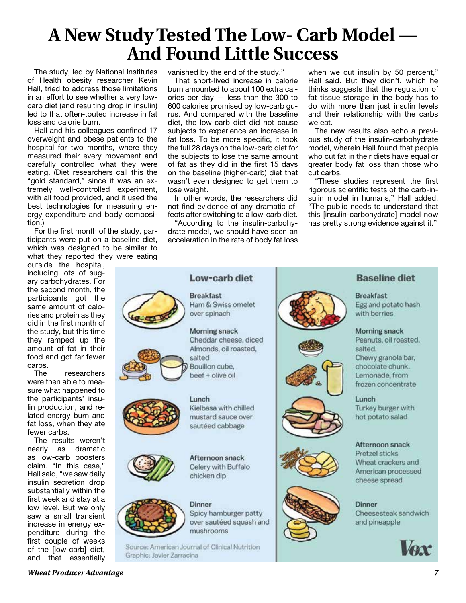## **A New Study Tested The Low- Carb Model — And Found Little Success**

The study, led by National Institutes of Health obesity researcher Kevin Hall, tried to address those limitations in an effort to see whether a very lowcarb diet (and resulting drop in insulin) led to that often-touted increase in fat loss and calorie burn.

Hall and his colleagues confined 17 overweight and obese patients to the hospital for two months, where they measured their every movement and carefully controlled what they were eating. (Diet researchers call this the "gold standard," since it was an extremely well-controlled experiment, with all food provided, and it used the best technologies for measuring energy expenditure and body composition.)

For the first month of the study, participants were put on a baseline diet, which was designed to be similar to what they reported they were eating

outside the hospital, including lots of sugary carbohydrates. For the second month, the participants got the same amount of calories and protein as they did in the first month of the study, but this time they ramped up the amount of fat in their food and got far fewer carbs.

The researchers were then able to measure what happened to the participants' insulin production, and related energy burn and fat loss, when they ate fewer carbs.

The results weren't nearly as dramatic as low-carb boosters claim. "In this case," Hall said, "we saw daily insulin secretion drop substantially within the first week and stay at a low level. But we only saw a small transient increase in energy expenditure during the first couple of weeks of the [low-carb] diet, and that essentially

vanished by the end of the study."

That short-lived increase in calorie burn amounted to about 100 extra calories per day — less than the 300 to 600 calories promised by low-carb gurus. And compared with the baseline diet, the low-carb diet did not cause subjects to experience an increase in fat loss. To be more specific, it took the full 28 days on the low-carb diet for the subjects to lose the same amount of fat as they did in the first 15 days on the baseline (higher-carb) diet that wasn't even designed to get them to lose weight.

In other words, the researchers did not find evidence of any dramatic effects after switching to a low-carb diet.

"According to the insulin-carbohydrate model, we should have seen an acceleration in the rate of body fat loss

when we cut insulin by 50 percent." Hall said. But they didn't, which he thinks suggests that the regulation of fat tissue storage in the body has to do with more than just insulin levels and their relationship with the carbs we eat.

The new results also echo a previous study of the insulin-carbohydrate model, wherein Hall found that people who cut fat in their diets have equal or greater body fat loss than those who cut carbs.

"These studies represent the first rigorous scientific tests of the carb-insulin model in humans," Hall added. "The public needs to understand that this [insulin-carbohydrate] model now has pretty strong evidence against it."



**Morning snack** Cheddar cheese, diced Almonds, oil roasted. salted

Low-carb diet

Ham & Swiss omelet

**Breakfast** 

over spinach

Bouillon cube, beef + olive oil

Lunch





Afternoon snack Celery with Buffalo chicken dip

Kielbasa with chilled

mustard sauce over

sautéed cabbage



**Dinner** Spicy hamburger patty over sautéed squash and mushrooms

Source: American Journal of Clinical Nutrition Graphic: Javier Zarracina













#### **Baseline diet**

**Breakfast** Egg and potato hash with berries

#### Morning snack

Peanuts, oil roasted, salted. Chewy granola bar, chocolate chunk. Lemonade, from frozen concentrate

Lunch

Turkey burger with hot potato salad

#### Afternoon snack

**Pretzel sticks** Wheat crackers and American processed cheese spread

**Dinner** 

Cheesesteak sandwich and pineapple



*Wheat Producer Advantage 7*